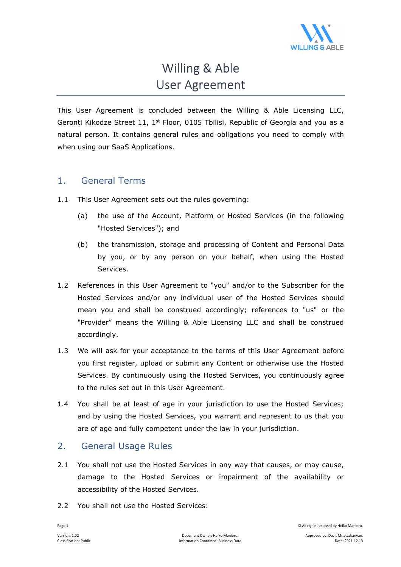

# Willing & Able User Agreement

This User Agreement is concluded between the Willing & Able Licensing LLC, Geronti Kikodze Street 11,  $1<sup>st</sup>$  Floor, 0105 Tbilisi, Republic of Georgia and you as a natural person. It contains general rules and obligations you need to comply with when using our SaaS Applications.

# 1. General Terms

- 1.1 This User Agreement sets out the rules governing:
	- (a) the use of the Account, Platform or Hosted Services (in the following "Hosted Services"); and
	- (b) the transmission, storage and processing of Content and Personal Data by you, or by any person on your behalf, when using the Hosted Services.
- 1.2 References in this User Agreement to "you" and/or to the Subscriber for the Hosted Services and/or any individual user of the Hosted Services should mean you and shall be construed accordingly; references to "us" or the "Provider" means the Willing & Able Licensing LLC and shall be construed accordingly.
- 1.3 We will ask for your acceptance to the terms of this User Agreement before you first register, upload or submit any Content or otherwise use the Hosted Services. By continuously using the Hosted Services, you continuously agree to the rules set out in this User Agreement.
- 1.4 You shall be at least of age in your jurisdiction to use the Hosted Services; and by using the Hosted Services, you warrant and represent to us that you are of age and fully competent under the law in your jurisdiction.

# 2. General Usage Rules

- 2.1 You shall not use the Hosted Services in any way that causes, or may cause, damage to the Hosted Services or impairment of the availability or accessibility of the Hosted Services.
- 2.2 You shall not use the Hosted Services:

Page 1 © All rights reserved by Heiko Maniero.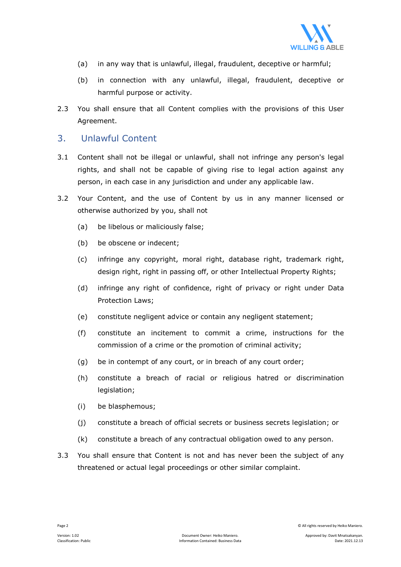

- (a) in any way that is unlawful, illegal, fraudulent, deceptive or harmful;
- (b) in connection with any unlawful, illegal, fraudulent, deceptive or harmful purpose or activity.
- 2.3 You shall ensure that all Content complies with the provisions of this User Agreement.

#### 3. Unlawful Content

- 3.1 Content shall not be illegal or unlawful, shall not infringe any person's legal rights, and shall not be capable of giving rise to legal action against any person, in each case in any jurisdiction and under any applicable law.
- 3.2 Your Content, and the use of Content by us in any manner licensed or otherwise authorized by you, shall not
	- (a) be libelous or maliciously false;
	- (b) be obscene or indecent;
	- (c) infringe any copyright, moral right, database right, trademark right, design right, right in passing off, or other Intellectual Property Rights;
	- (d) infringe any right of confidence, right of privacy or right under Data Protection Laws;
	- (e) constitute negligent advice or contain any negligent statement;
	- (f) constitute an incitement to commit a crime, instructions for the commission of a crime or the promotion of criminal activity;
	- (g) be in contempt of any court, or in breach of any court order;
	- (h) constitute a breach of racial or religious hatred or discrimination legislation;
	- (i) be blasphemous;
	- (j) constitute a breach of official secrets or business secrets legislation; or
	- (k) constitute a breach of any contractual obligation owed to any person.
- 3.3 You shall ensure that Content is not and has never been the subject of any threatened or actual legal proceedings or other similar complaint.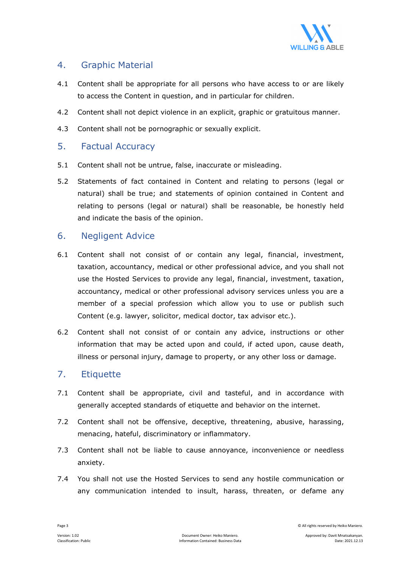

#### 4. Graphic Material

- 4.1 Content shall be appropriate for all persons who have access to or are likely to access the Content in question, and in particular for children.
- 4.2 Content shall not depict violence in an explicit, graphic or gratuitous manner.
- 4.3 Content shall not be pornographic or sexually explicit.

#### 5. Factual Accuracy

- 5.1 Content shall not be untrue, false, inaccurate or misleading.
- 5.2 Statements of fact contained in Content and relating to persons (legal or natural) shall be true; and statements of opinion contained in Content and relating to persons (legal or natural) shall be reasonable, be honestly held and indicate the basis of the opinion.

#### 6. Negligent Advice

- 6.1 Content shall not consist of or contain any legal, financial, investment, taxation, accountancy, medical or other professional advice, and you shall not use the Hosted Services to provide any legal, financial, investment, taxation, accountancy, medical or other professional advisory services unless you are a member of a special profession which allow you to use or publish such Content (e.g. lawyer, solicitor, medical doctor, tax advisor etc.).
- 6.2 Content shall not consist of or contain any advice, instructions or other information that may be acted upon and could, if acted upon, cause death, illness or personal injury, damage to property, or any other loss or damage.

#### 7. Etiquette

- 7.1 Content shall be appropriate, civil and tasteful, and in accordance with generally accepted standards of etiquette and behavior on the internet.
- 7.2 Content shall not be offensive, deceptive, threatening, abusive, harassing, menacing, hateful, discriminatory or inflammatory.
- 7.3 Content shall not be liable to cause annoyance, inconvenience or needless anxiety.
- 7.4 You shall not use the Hosted Services to send any hostile communication or any communication intended to insult, harass, threaten, or defame any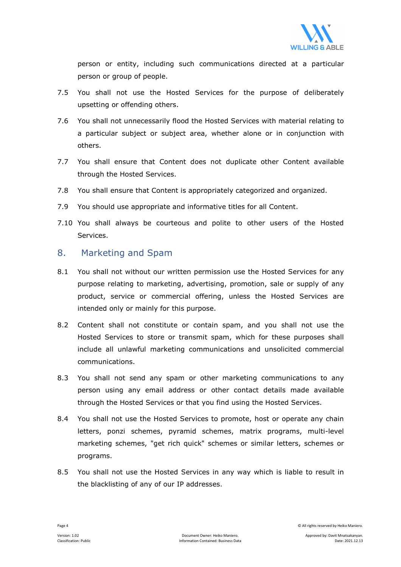

person or entity, including such communications directed at a particular person or group of people.

- 7.5 You shall not use the Hosted Services for the purpose of deliberately upsetting or offending others.
- 7.6 You shall not unnecessarily flood the Hosted Services with material relating to a particular subject or subject area, whether alone or in conjunction with others.
- 7.7 You shall ensure that Content does not duplicate other Content available through the Hosted Services.
- 7.8 You shall ensure that Content is appropriately categorized and organized.
- 7.9 You should use appropriate and informative titles for all Content.
- 7.10 You shall always be courteous and polite to other users of the Hosted Services.

#### 8. Marketing and Spam

- 8.1 You shall not without our written permission use the Hosted Services for any purpose relating to marketing, advertising, promotion, sale or supply of any product, service or commercial offering, unless the Hosted Services are intended only or mainly for this purpose.
- 8.2 Content shall not constitute or contain spam, and you shall not use the Hosted Services to store or transmit spam, which for these purposes shall include all unlawful marketing communications and unsolicited commercial communications.
- 8.3 You shall not send any spam or other marketing communications to any person using any email address or other contact details made available through the Hosted Services or that you find using the Hosted Services.
- 8.4 You shall not use the Hosted Services to promote, host or operate any chain letters, ponzi schemes, pyramid schemes, matrix programs, multi-level marketing schemes, "get rich quick" schemes or similar letters, schemes or programs.
- 8.5 You shall not use the Hosted Services in any way which is liable to result in the blacklisting of any of our IP addresses.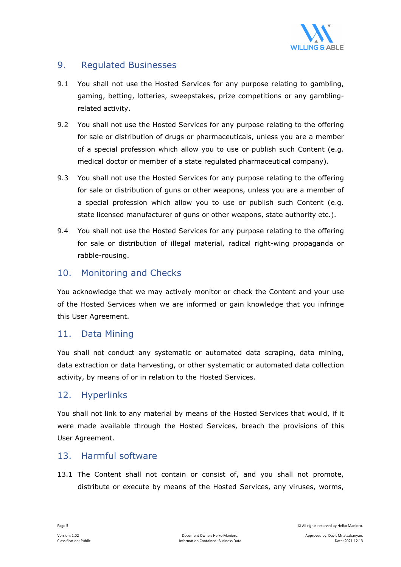

## 9. Regulated Businesses

- 9.1 You shall not use the Hosted Services for any purpose relating to gambling, gaming, betting, lotteries, sweepstakes, prize competitions or any gamblingrelated activity.
- 9.2 You shall not use the Hosted Services for any purpose relating to the offering for sale or distribution of drugs or pharmaceuticals, unless you are a member of a special profession which allow you to use or publish such Content (e.g. medical doctor or member of a state regulated pharmaceutical company).
- 9.3 You shall not use the Hosted Services for any purpose relating to the offering for sale or distribution of guns or other weapons, unless you are a member of a special profession which allow you to use or publish such Content (e.g. state licensed manufacturer of guns or other weapons, state authority etc.).
- 9.4 You shall not use the Hosted Services for any purpose relating to the offering for sale or distribution of illegal material, radical right-wing propaganda or rabble-rousing.

#### 10. Monitoring and Checks

You acknowledge that we may actively monitor or check the Content and your use of the Hosted Services when we are informed or gain knowledge that you infringe this User Agreement.

#### 11. Data Mining

You shall not conduct any systematic or automated data scraping, data mining, data extraction or data harvesting, or other systematic or automated data collection activity, by means of or in relation to the Hosted Services.

#### 12. Hyperlinks

You shall not link to any material by means of the Hosted Services that would, if it were made available through the Hosted Services, breach the provisions of this User Agreement.

#### 13. Harmful software

13.1 The Content shall not contain or consist of, and you shall not promote, distribute or execute by means of the Hosted Services, any viruses, worms,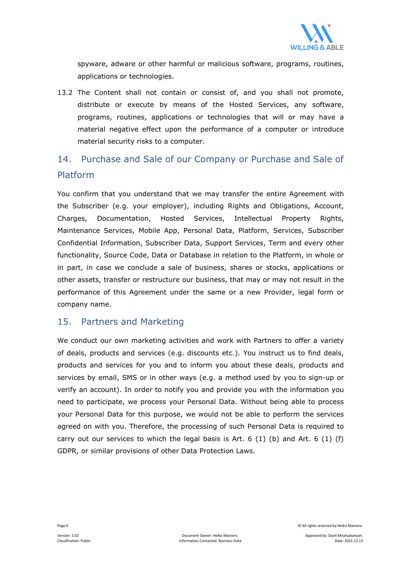

spyware, adware or other harmful or malicious software, programs, routines, applications or technologies.

13.2 The Content shall not contain or consist of, and you shall not promote, distribute or execute by means of the Hosted Services, any software, programs, routines, applications or technologies that will or may have a material negative effect upon the performance of a computer or introduce material security risks to a computer.

# 14. Purchase and Sale of our Company or Purchase and Sale of Platform

You confirm that you understand that we may transfer the entire Agreement with the Subscriber (e.g. your employer), including Rights and Obligations, Account, Charges, Documentation, Hosted Services, Intellectual Property Rights, Maintenance Services, Mobile App, Personal Data, Platform, Services, Subscriber Confidential Information, Subscriber Data, Support Services, Term and every other functionality, Source Code, Data or Database in relation to the Platform, in whole or in part, in case we conclude a sale of business, shares or stocks, applications or other assets, transfer or restructure our business, that may or may not result in the performance of this Agreement under the same or a new Provider, legal form or company name.

#### 15. Partners and Marketing

We conduct our own marketing activities and work with Partners to offer a variety of deals, products and services (e.g. discounts etc.). You instruct us to find deals, products and services for you and to inform you about these deals, products and services by email, SMS or in other ways (e.g. a method used by you to sign-up or verify an account). In order to notify you and provide you with the information you need to participate, we process your Personal Data. Without being able to process your Personal Data for this purpose, we would not be able to perform the services agreed on with you. Therefore, the processing of such Personal Data is required to carry out our services to which the legal basis is Art. 6  $(1)$  (b) and Art. 6  $(1)$  (f) GDPR, or similar provisions of other Data Protection Laws.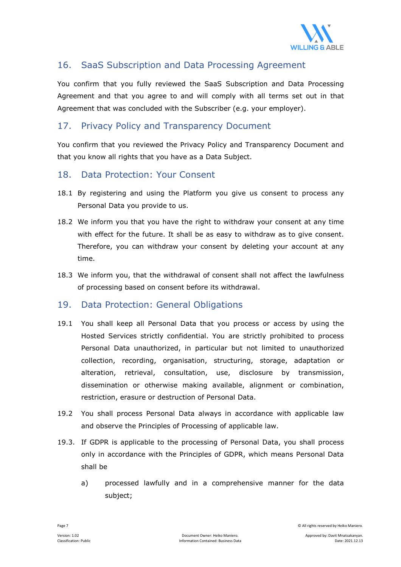

# 16. SaaS Subscription and Data Processing Agreement

You confirm that you fully reviewed the SaaS Subscription and Data Processing Agreement and that you agree to and will comply with all terms set out in that Agreement that was concluded with the Subscriber (e.g. your employer).

## 17. Privacy Policy and Transparency Document

You confirm that you reviewed the Privacy Policy and Transparency Document and that you know all rights that you have as a Data Subject.

#### 18. Data Protection: Your Consent

- 18.1 By registering and using the Platform you give us consent to process any Personal Data you provide to us.
- 18.2 We inform you that you have the right to withdraw your consent at any time with effect for the future. It shall be as easy to withdraw as to give consent. Therefore, you can withdraw your consent by deleting your account at any time.
- 18.3 We inform you, that the withdrawal of consent shall not affect the lawfulness of processing based on consent before its withdrawal.

#### 19. Data Protection: General Obligations

- 19.1 You shall keep all Personal Data that you process or access by using the Hosted Services strictly confidential. You are strictly prohibited to process Personal Data unauthorized, in particular but not limited to unauthorized collection, recording, organisation, structuring, storage, adaptation or alteration, retrieval, consultation, use, disclosure by transmission, dissemination or otherwise making available, alignment or combination, restriction, erasure or destruction of Personal Data.
- 19.2 You shall process Personal Data always in accordance with applicable law and observe the Principles of Processing of applicable law.
- 19.3. If GDPR is applicable to the processing of Personal Data, you shall process only in accordance with the Principles of GDPR, which means Personal Data shall be
	- a) processed lawfully and in a comprehensive manner for the data subject;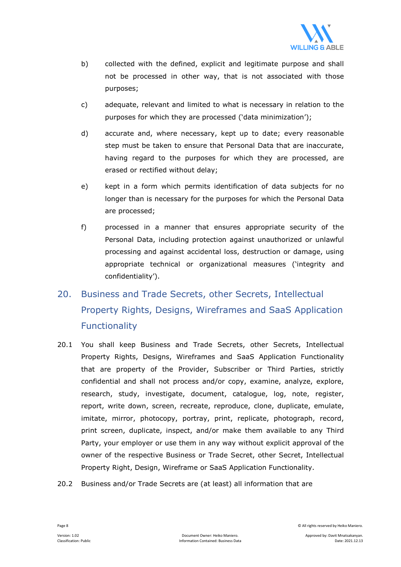

- b) collected with the defined, explicit and legitimate purpose and shall not be processed in other way, that is not associated with those purposes;
- c) adequate, relevant and limited to what is necessary in relation to the purposes for which they are processed ('data minimization');
- d) accurate and, where necessary, kept up to date; every reasonable step must be taken to ensure that Personal Data that are inaccurate, having regard to the purposes for which they are processed, are erased or rectified without delay;
- e) kept in a form which permits identification of data subjects for no longer than is necessary for the purposes for which the Personal Data are processed;
- f) processed in a manner that ensures appropriate security of the Personal Data, including protection against unauthorized or unlawful processing and against accidental loss, destruction or damage, using appropriate technical or organizational measures ('integrity and confidentiality').

# 20. Business and Trade Secrets, other Secrets, Intellectual Property Rights, Designs, Wireframes and SaaS Application **Functionality**

- 20.1 You shall keep Business and Trade Secrets, other Secrets, Intellectual Property Rights, Designs, Wireframes and SaaS Application Functionality that are property of the Provider, Subscriber or Third Parties, strictly confidential and shall not process and/or copy, examine, analyze, explore, research, study, investigate, document, catalogue, log, note, register, report, write down, screen, recreate, reproduce, clone, duplicate, emulate, imitate, mirror, photocopy, portray, print, replicate, photograph, record, print screen, duplicate, inspect, and/or make them available to any Third Party, your employer or use them in any way without explicit approval of the owner of the respective Business or Trade Secret, other Secret, Intellectual Property Right, Design, Wireframe or SaaS Application Functionality.
- 20.2 Business and/or Trade Secrets are (at least) all information that are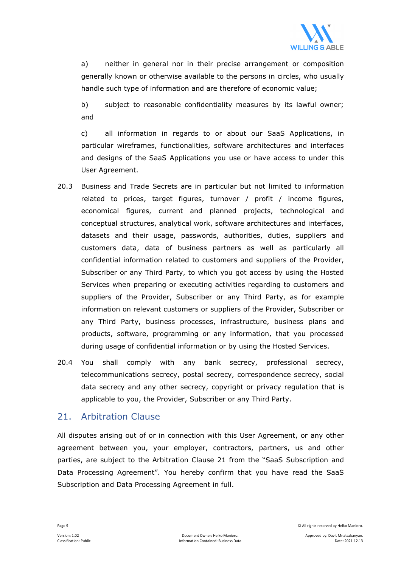

a) neither in general nor in their precise arrangement or composition generally known or otherwise available to the persons in circles, who usually handle such type of information and are therefore of economic value;

b) subject to reasonable confidentiality measures by its lawful owner; and

c) all information in regards to or about our SaaS Applications, in particular wireframes, functionalities, software architectures and interfaces and designs of the SaaS Applications you use or have access to under this User Agreement.

- 20.3 Business and Trade Secrets are in particular but not limited to information related to prices, target figures, turnover / profit / income figures, economical figures, current and planned projects, technological and conceptual structures, analytical work, software architectures and interfaces, datasets and their usage, passwords, authorities, duties, suppliers and customers data, data of business partners as well as particularly all confidential information related to customers and suppliers of the Provider, Subscriber or any Third Party, to which you got access by using the Hosted Services when preparing or executing activities regarding to customers and suppliers of the Provider, Subscriber or any Third Party, as for example information on relevant customers or suppliers of the Provider, Subscriber or any Third Party, business processes, infrastructure, business plans and products, software, programming or any information, that you processed during usage of confidential information or by using the Hosted Services.
- 20.4 You shall comply with any bank secrecy, professional secrecy, telecommunications secrecy, postal secrecy, correspondence secrecy, social data secrecy and any other secrecy, copyright or privacy regulation that is applicable to you, the Provider, Subscriber or any Third Party.

#### 21. Arbitration Clause

All disputes arising out of or in connection with this User Agreement, or any other agreement between you, your employer, contractors, partners, us and other parties, are subject to the Arbitration Clause 21 from the "SaaS Subscription and Data Processing Agreement". You hereby confirm that you have read the SaaS Subscription and Data Processing Agreement in full.